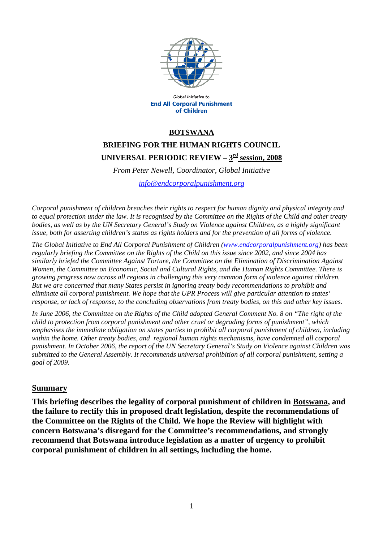

Global Initiative to **End All Corporal Punishment** of Children

### **BOTSWANA**

# **BRIEFING FOR THE HUMAN RIGHTS COUNCIL**  UNIVERSAL PERIODIC REVIEW –  $3<sup>rd</sup>$  session, 2008

*From Peter Newell, Coordinator, Global Initiative* 

*[info@endcorporalpunishment.org](mailto:info@endcorporalpunishment.org)*

*Corporal punishment of children breaches their rights to respect for human dignity and physical integrity and to equal protection under the law. It is recognised by the Committee on the Rights of the Child and other treaty*  bodies, as well as by the UN Secretary General's Study on Violence against Children, as a highly significant *issue, both for asserting children's status as rights holders and for the prevention of all forms of violence.* 

*The Global Initiative to End All Corporal Punishment of Children [\(www.endcorporalpunishment.org](http://www.endcorporalpunishment.org/)) has been regularly briefing the Committee on the Rights of the Child on this issue since 2002, and since 2004 has similarly briefed the Committee Against Torture, the Committee on the Elimination of Discrimination Against Women, the Committee on Economic, Social and Cultural Rights, and the Human Rights Committee. There is growing progress now across all regions in challenging this very common form of violence against children. But we are concerned that many States persist in ignoring treaty body recommendations to prohibit and eliminate all corporal punishment. We hope that the UPR Process will give particular attention to states' response, or lack of response, to the concluding observations from treaty bodies, on this and other key issues.* 

*In June 2006, the Committee on the Rights of the Child adopted General Comment No. 8 on "The right of the child to protection from corporal punishment and other cruel or degrading forms of punishment", which emphasises the immediate obligation on states parties to prohibit all corporal punishment of children, including within the home. Other treaty bodies, and regional human rights mechanisms, have condemned all corporal punishment. In October 2006, the report of the UN Secretary General's Study on Violence against Children was submitted to the General Assembly. It recommends universal prohibition of all corporal punishment, setting a goal of 2009.*

#### **Summary**

**This briefing describes the legality of corporal punishment of children in Botswana, and the failure to rectify this in proposed draft legislation, despite the recommendations of the Committee on the Rights of the Child. We hope the Review will highlight with concern Botswana's disregard for the Committee's recommendations, and strongly recommend that Botswana introduce legislation as a matter of urgency to prohibit corporal punishment of children in all settings, including the home.**